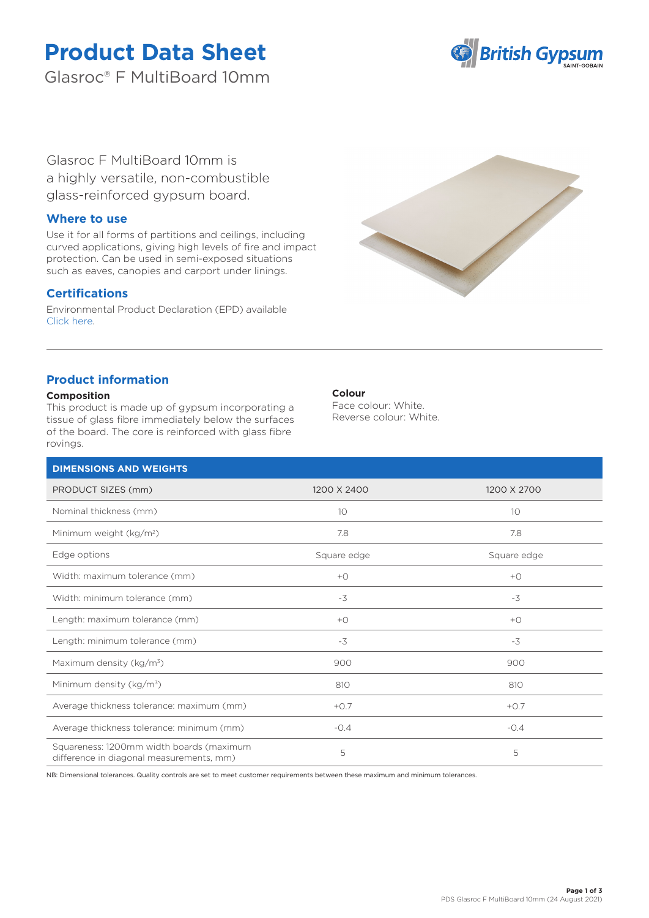# **Product Data Sheet**

Glasroc® F MultiBoard 10mm



Glasroc F MultiBoard 10mm is a highly versatile, non-combustible glass-reinforced gypsum board.

## **Where to use**

Use it for all forms of partitions and ceilings, including curved applications, giving high levels of fire and impact protection. Can be used in semi-exposed situations such as eaves, canopies and carport under linings.

# **Certifications**

Environmental Product Declaration (EPD) available [Click here.](https://www.british-gypsum.com/EPD)



# **Product information**

## **Composition**

This product is made up of gypsum incorporating a tissue of glass fibre immediately below the surfaces of the board. The core is reinforced with glass fibre rovings.

## **Colour**

Face colour: White. Reverse colour: White.

| <b>DIMENSIONS AND WEIGHTS</b>                                                        |             |             |
|--------------------------------------------------------------------------------------|-------------|-------------|
| PRODUCT SIZES (mm)                                                                   | 1200 X 2400 | 1200 X 2700 |
| Nominal thickness (mm)                                                               | 10          | 10          |
| Minimum weight (kg/m <sup>2</sup> )                                                  | 7.8         | 7.8         |
| Edge options                                                                         | Square edge | Square edge |
| Width: maximum tolerance (mm)                                                        | $+O$        | $+O$        |
| Width: minimum tolerance (mm)                                                        | $-3$        | $-3$        |
| Length: maximum tolerance (mm)                                                       | $+O$        | $+O$        |
| Length: minimum tolerance (mm)                                                       | $-3$        | $-3$        |
| Maximum density (kg/m <sup>3</sup> )                                                 | 900         | 900         |
| Minimum density (kg/m <sup>3</sup> )                                                 | 810         | 810         |
| Average thickness tolerance: maximum (mm)                                            | $+0.7$      | $+0.7$      |
| Average thickness tolerance: minimum (mm)                                            | $-0.4$      | $-0.4$      |
| Squareness: 1200mm width boards (maximum<br>difference in diagonal measurements, mm) | 5           | 5           |

NB: Dimensional tolerances. Quality controls are set to meet customer requirements between these maximum and minimum tolerances.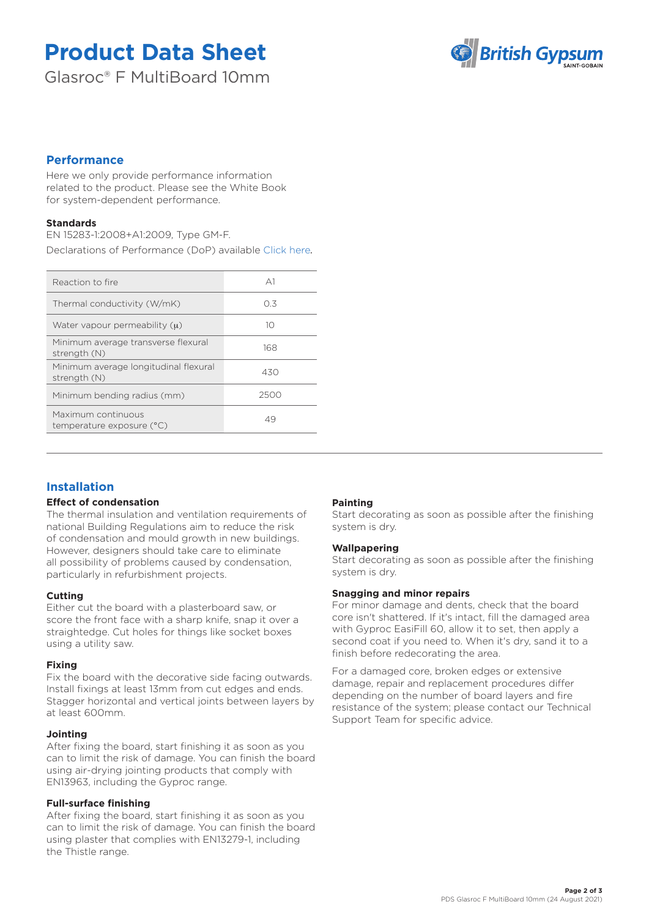# **Product Data Sheet**

Glasroc® F MultiBoard 10mm



## **Performance**

Here we only provide performance information related to the product. Please see the White Book for system-dependent performance.

## **Standards**

EN 15283-1:2008+A1:2009, Type GM-F. Declarations of Performance (DoP) available [Click here](https://www.british-gypsum.com/DoP)*.*

| Reaction to fire                                      | $\triangle$ 1 |
|-------------------------------------------------------|---------------|
| Thermal conductivity (W/mK)                           | 0.3           |
| Water vapour permeability $(u)$                       | 10            |
| Minimum average transverse flexural<br>strength (N)   | 168           |
| Minimum average longitudinal flexural<br>strength (N) | 430           |
| Minimum bending radius (mm)                           | 2500          |
| Maximum continuous<br>temperature exposure (°C)       | 49            |
|                                                       |               |

# **Installation**

### **Effect of condensation**

The thermal insulation and ventilation requirements of national Building Regulations aim to reduce the risk of condensation and mould growth in new buildings. However, designers should take care to eliminate all possibility of problems caused by condensation, particularly in refurbishment projects.

## **Cutting**

Either cut the board with a plasterboard saw, or score the front face with a sharp knife, snap it over a straightedge. Cut holes for things like socket boxes using a utility saw.

#### **Fixing**

Fix the board with the decorative side facing outwards. Install fixings at least 13mm from cut edges and ends. Stagger horizontal and vertical joints between layers by at least 600mm.

#### **Jointing**

After fixing the board, start finishing it as soon as you can to limit the risk of damage. You can finish the board using air-drying jointing products that comply with EN13963, including the Gyproc range.

## **Full-surface finishing**

After fixing the board, start finishing it as soon as you can to limit the risk of damage. You can finish the board using plaster that complies with EN13279-1, including the Thistle range.

## **Painting**

Start decorating as soon as possible after the finishing system is dry.

#### **Wallpapering**

Start decorating as soon as possible after the finishing system is dry.

#### **Snagging and minor repairs**

For minor damage and dents, check that the board core isn't shattered. If it's intact, fill the damaged area with Gyproc EasiFill 60, allow it to set, then apply a second coat if you need to. When it's dry, sand it to a finish before redecorating the area.

For a damaged core, broken edges or extensive damage, repair and replacement procedures differ depending on the number of board layers and fire resistance of the system; please contact our Technical Support Team for specific advice.